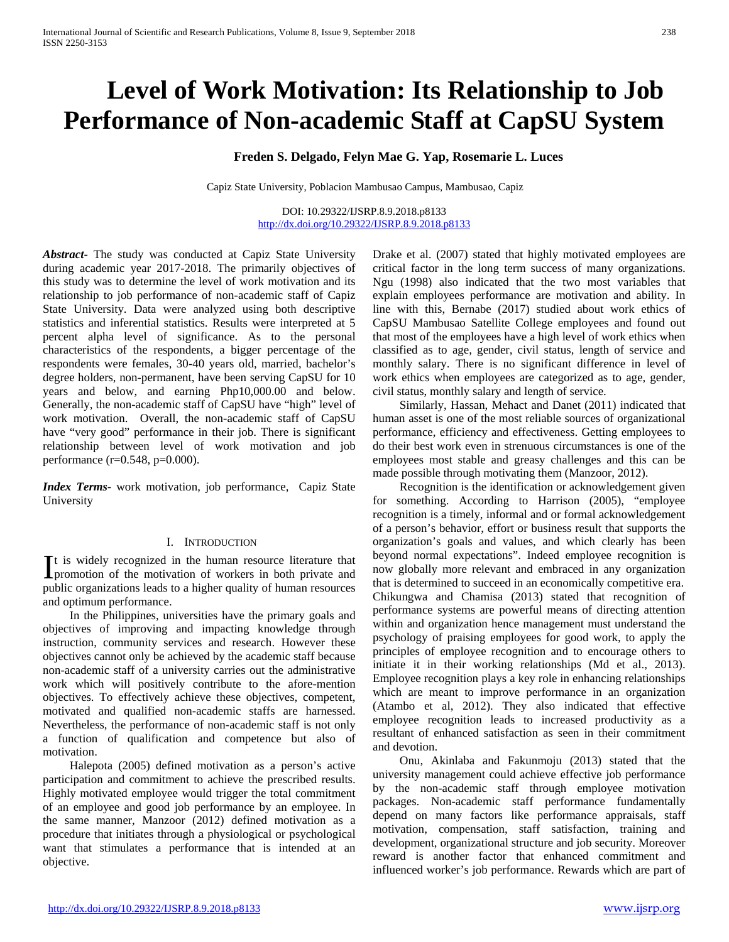# **Level of Work Motivation: Its Relationship to Job Performance of Non-academic Staff at CapSU System**

# **Freden S. Delgado, Felyn Mae G. Yap, Rosemarie L. Luces**

Capiz State University, Poblacion Mambusao Campus, Mambusao, Capiz

DOI: 10.29322/IJSRP.8.9.2018.p8133 <http://dx.doi.org/10.29322/IJSRP.8.9.2018.p8133>

*Abstract***-** The study was conducted at Capiz State University during academic year 2017-2018. The primarily objectives of this study was to determine the level of work motivation and its relationship to job performance of non-academic staff of Capiz State University. Data were analyzed using both descriptive statistics and inferential statistics. Results were interpreted at 5 percent alpha level of significance. As to the personal characteristics of the respondents, a bigger percentage of the respondents were females, 30-40 years old, married, bachelor's degree holders, non-permanent, have been serving CapSU for 10 years and below, and earning Php10,000.00 and below. Generally, the non-academic staff of CapSU have "high" level of work motivation. Overall, the non-academic staff of CapSU have "very good" performance in their job. There is significant relationship between level of work motivation and job performance (r=0.548, p=0.000).

*Index Terms*- work motivation, job performance, Capiz State University

#### I. INTRODUCTION

t is widely recognized in the human resource literature that It is widely recognized in the human resource literature that<br>promotion of the motivation of workers in both private and public organizations leads to a higher quality of human resources and optimum performance.

 In the Philippines, universities have the primary goals and objectives of improving and impacting knowledge through instruction, community services and research. However these objectives cannot only be achieved by the academic staff because non-academic staff of a university carries out the administrative work which will positively contribute to the afore-mention objectives. To effectively achieve these objectives, competent, motivated and qualified non-academic staffs are harnessed. Nevertheless, the performance of non-academic staff is not only a function of qualification and competence but also of motivation.

 Halepota (2005) defined motivation as a person's active participation and commitment to achieve the prescribed results. Highly motivated employee would trigger the total commitment of an employee and good job performance by an employee. In the same manner, Manzoor (2012) defined motivation as a procedure that initiates through a physiological or psychological want that stimulates a performance that is intended at an objective.

Drake et al. (2007) stated that highly motivated employees are critical factor in the long term success of many organizations. Ngu (1998) also indicated that the two most variables that explain employees performance are motivation and ability. In line with this, Bernabe (2017) studied about work ethics of CapSU Mambusao Satellite College employees and found out that most of the employees have a high level of work ethics when classified as to age, gender, civil status, length of service and monthly salary. There is no significant difference in level of work ethics when employees are categorized as to age, gender, civil status, monthly salary and length of service.

 Similarly, Hassan, Mehact and Danet (2011) indicated that human asset is one of the most reliable sources of organizational performance, efficiency and effectiveness. Getting employees to do their best work even in strenuous circumstances is one of the employees most stable and greasy challenges and this can be made possible through motivating them (Manzoor, 2012).

 Recognition is the identification or acknowledgement given for something. According to Harrison (2005), "employee recognition is a timely, informal and or formal acknowledgement of a person's behavior, effort or business result that supports the organization's goals and values, and which clearly has been beyond normal expectations". Indeed employee recognition is now globally more relevant and embraced in any organization that is determined to succeed in an economically competitive era. Chikungwa and Chamisa (2013) stated that recognition of performance systems are powerful means of directing attention within and organization hence management must understand the psychology of praising employees for good work, to apply the principles of employee recognition and to encourage others to initiate it in their working relationships (Md et al., 2013). Employee recognition plays a key role in enhancing relationships which are meant to improve performance in an organization (Atambo et al, 2012). They also indicated that effective employee recognition leads to increased productivity as a resultant of enhanced satisfaction as seen in their commitment and devotion.

 Onu, Akinlaba and Fakunmoju (2013) stated that the university management could achieve effective job performance by the non-academic staff through employee motivation packages. Non-academic staff performance fundamentally depend on many factors like performance appraisals, staff motivation, compensation, staff satisfaction, training and development, organizational structure and job security. Moreover reward is another factor that enhanced commitment and influenced worker's job performance. Rewards which are part of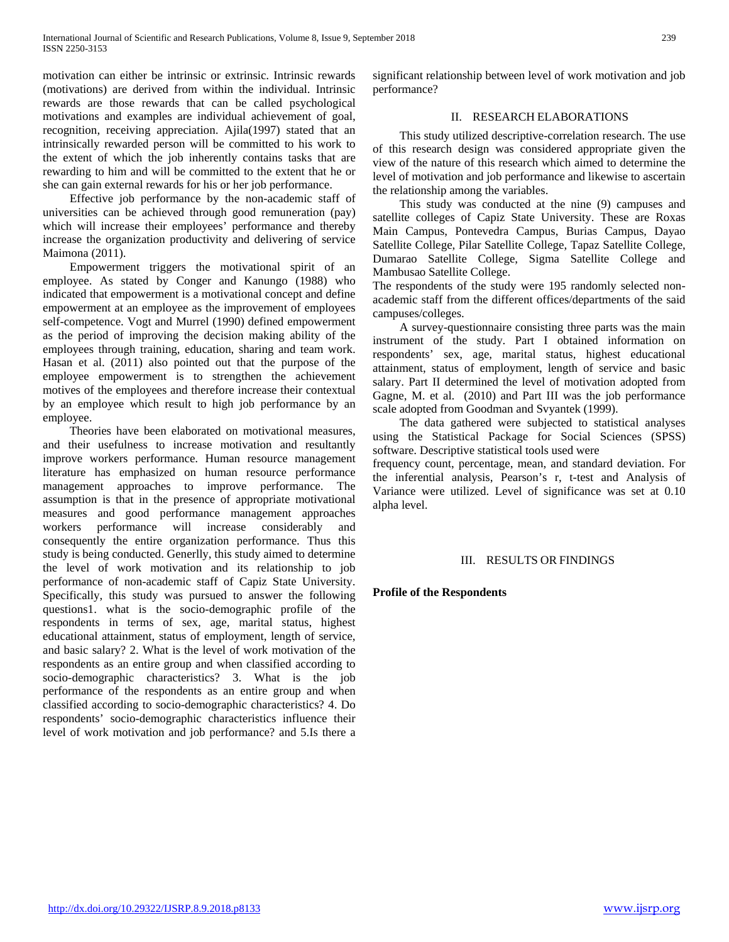motivation can either be intrinsic or extrinsic. Intrinsic rewards (motivations) are derived from within the individual. Intrinsic rewards are those rewards that can be called psychological motivations and examples are individual achievement of goal, recognition, receiving appreciation. Ajila(1997) stated that an intrinsically rewarded person will be committed to his work to the extent of which the job inherently contains tasks that are rewarding to him and will be committed to the extent that he or she can gain external rewards for his or her job performance.

 Effective job performance by the non-academic staff of universities can be achieved through good remuneration (pay) which will increase their employees' performance and thereby increase the organization productivity and delivering of service Maimona (2011).

 Empowerment triggers the motivational spirit of an employee. As stated by Conger and Kanungo (1988) who indicated that empowerment is a motivational concept and define empowerment at an employee as the improvement of employees self-competence. Vogt and Murrel (1990) defined empowerment as the period of improving the decision making ability of the employees through training, education, sharing and team work. Hasan et al. (2011) also pointed out that the purpose of the employee empowerment is to strengthen the achievement motives of the employees and therefore increase their contextual by an employee which result to high job performance by an employee.

 Theories have been elaborated on motivational measures, and their usefulness to increase motivation and resultantly improve workers performance. Human resource management literature has emphasized on human resource performance management approaches to improve performance. The assumption is that in the presence of appropriate motivational measures and good performance management approaches workers performance will increase considerably and consequently the entire organization performance. Thus this study is being conducted. Generlly, this study aimed to determine the level of work motivation and its relationship to job performance of non-academic staff of Capiz State University. Specifically, this study was pursued to answer the following questions1. what is the socio-demographic profile of the respondents in terms of sex, age, marital status, highest educational attainment, status of employment, length of service, and basic salary? 2. What is the level of work motivation of the respondents as an entire group and when classified according to socio-demographic characteristics? 3. What is the job performance of the respondents as an entire group and when classified according to socio-demographic characteristics? 4. Do respondents' socio-demographic characteristics influence their level of work motivation and job performance? and 5.Is there a significant relationship between level of work motivation and job performance?

# II. RESEARCH ELABORATIONS

 This study utilized descriptive-correlation research. The use of this research design was considered appropriate given the view of the nature of this research which aimed to determine the level of motivation and job performance and likewise to ascertain the relationship among the variables.

 This study was conducted at the nine (9) campuses and satellite colleges of Capiz State University. These are Roxas Main Campus, Pontevedra Campus, Burias Campus, Dayao Satellite College, Pilar Satellite College, Tapaz Satellite College, Dumarao Satellite College, Sigma Satellite College and Mambusao Satellite College.

The respondents of the study were 195 randomly selected nonacademic staff from the different offices/departments of the said campuses/colleges.

 A survey-questionnaire consisting three parts was the main instrument of the study. Part I obtained information on respondents' sex, age, marital status, highest educational attainment, status of employment, length of service and basic salary. Part II determined the level of motivation adopted from Gagne, M. et al. (2010) and Part III was the job performance scale adopted from Goodman and Svyantek (1999).

 The data gathered were subjected to statistical analyses using the Statistical Package for Social Sciences (SPSS) software. Descriptive statistical tools used were

frequency count, percentage, mean, and standard deviation. For the inferential analysis, Pearson's r, t-test and Analysis of Variance were utilized. Level of significance was set at 0.10 alpha level.

## III. RESULTS OR FINDINGS

## **Profile of the Respondents**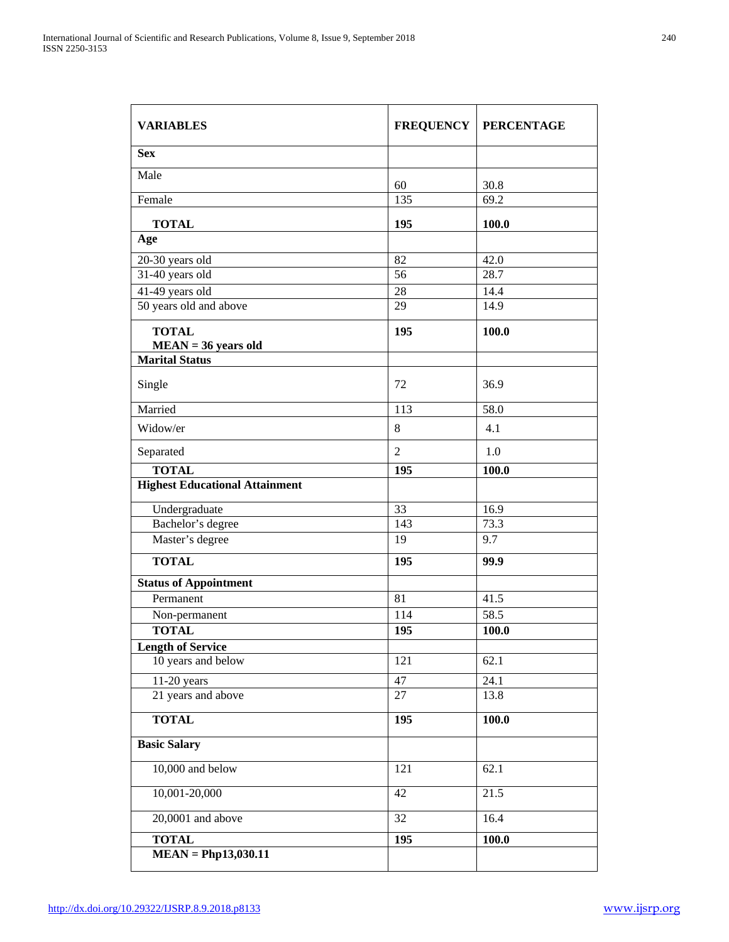| <b>VARIABLES</b>                          |                | <b>FREQUENCY   PERCENTAGE</b> |
|-------------------------------------------|----------------|-------------------------------|
| <b>Sex</b>                                |                |                               |
| Male                                      |                |                               |
| Female                                    | 60<br>135      | 30.8<br>69.2                  |
|                                           |                |                               |
| <b>TOTAL</b><br>Age                       | 195            | 100.0                         |
|                                           |                |                               |
| 20-30 years old                           | 82             | 42.0<br>28.7                  |
| 31-40 years old                           | 56             |                               |
| 41-49 years old<br>50 years old and above | 28<br>29       | 14.4<br>14.9                  |
|                                           |                |                               |
| <b>TOTAL</b><br>$MEAN = 36$ years old     | 195            | 100.0                         |
| <b>Marital Status</b>                     |                |                               |
| Single                                    | 72             | 36.9                          |
| Married                                   | 113            | 58.0                          |
| Widow/er                                  | 8              | 4.1                           |
| Separated                                 | $\overline{2}$ | 1.0                           |
| <b>TOTAL</b>                              | 195            | 100.0                         |
| <b>Highest Educational Attainment</b>     |                |                               |
| Undergraduate                             | 33             | 16.9                          |
| Bachelor's degree                         | 143            | 73.3                          |
| Master's degree                           | 19             | 9.7                           |
| <b>TOTAL</b>                              | 195            | 99.9                          |
| <b>Status of Appointment</b>              |                |                               |
| Permanent                                 | 81             | 41.5                          |
| Non-permanent                             | 114            | 58.5                          |
| <b>TOTAL</b>                              | 195            | 100.0                         |
| <b>Length of Service</b>                  |                |                               |
| 10 years and below                        | 121            | 62.1                          |
| $11-20$ years                             | 47             | 24.1                          |
| 21 years and above                        | 27             | 13.8                          |
| <b>TOTAL</b>                              | 195            | 100.0                         |
| <b>Basic Salary</b>                       |                |                               |
| 10,000 and below                          | 121            | 62.1                          |
| $10,001 - 20,000$                         | 42             | 21.5                          |
| $20,0001$ and above                       | 32             | 16.4                          |
| <b>TOTAL</b>                              | 195            | 100.0                         |
| $MEAN = PhD13,030.11$                     |                |                               |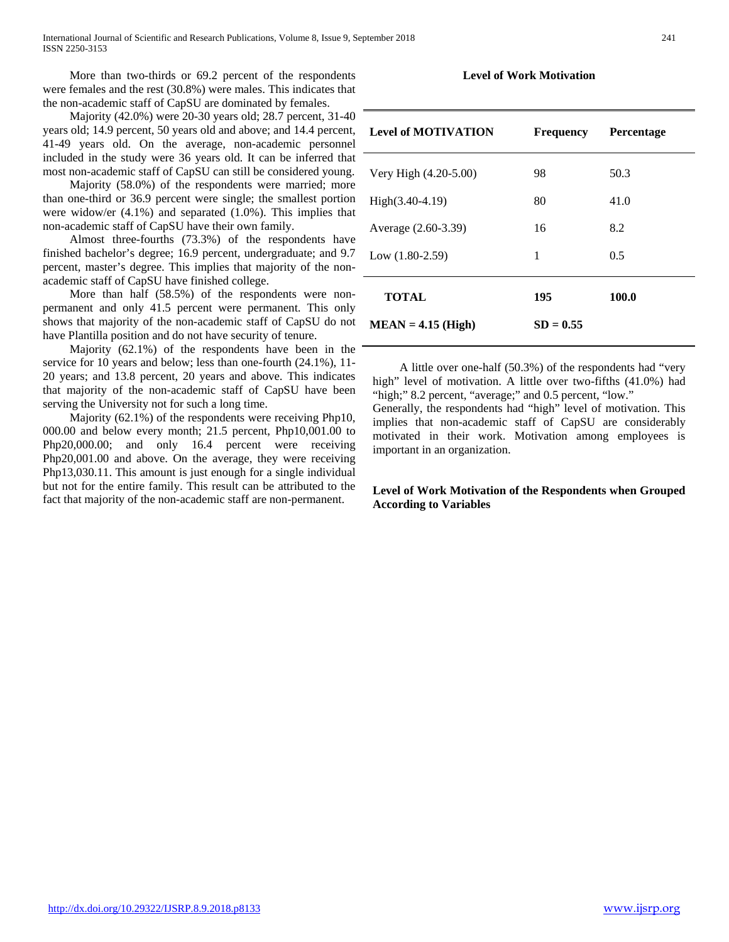More than two-thirds or 69.2 percent of the respondents were females and the rest (30.8%) were males. This indicates that the non-academic staff of CapSU are dominated by females.

 Majority (42.0%) were 20-30 years old; 28.7 percent, 31-40 years old; 14.9 percent, 50 years old and above; and 14.4 percent, 41-49 years old. On the average, non-academic personnel included in the study were 36 years old. It can be inferred that most non-academic staff of CapSU can still be considered young.

 Majority (58.0%) of the respondents were married; more than one-third or 36.9 percent were single; the smallest portion were widow/er (4.1%) and separated (1.0%). This implies that non-academic staff of CapSU have their own family.

 Almost three-fourths (73.3%) of the respondents have finished bachelor's degree; 16.9 percent, undergraduate; and 9.7 percent, master's degree. This implies that majority of the nonacademic staff of CapSU have finished college.

 More than half (58.5%) of the respondents were nonpermanent and only 41.5 percent were permanent. This only shows that majority of the non-academic staff of CapSU do not have Plantilla position and do not have security of tenure.

 Majority (62.1%) of the respondents have been in the service for 10 years and below; less than one-fourth (24.1%), 11- 20 years; and 13.8 percent, 20 years and above. This indicates that majority of the non-academic staff of CapSU have been serving the University not for such a long time.

 Majority (62.1%) of the respondents were receiving Php10, 000.00 and below every month; 21.5 percent, Php10,001.00 to Php20,000.00; and only 16.4 percent were receiving Php20,001.00 and above. On the average, they were receiving Php13,030.11. This amount is just enough for a single individual but not for the entire family. This result can be attributed to the fact that majority of the non-academic staff are non-permanent.

## **Level of Work Motivation**

| <b>Level of MOTIVATION</b> | <b>Frequency</b> | <b>Percentage</b> |
|----------------------------|------------------|-------------------|
| Very High (4.20-5.00)      | 98               | 50.3              |
| $High(3.40-4.19)$          | 80               | 41.0              |
| Average (2.60-3.39)        | 16               | 8.2               |
| Low $(1.80-2.59)$          | 1                | 0.5               |
| <b>TOTAL</b>               | 195              | 100.0             |
| $MEAN = 4.15$ (High)       | $SD = 0.55$      |                   |

 A little over one-half (50.3%) of the respondents had "very high" level of motivation. A little over two-fifths (41.0%) had "high;" 8.2 percent, "average;" and 0.5 percent, "low."

Generally, the respondents had "high" level of motivation. This implies that non-academic staff of CapSU are considerably motivated in their work. Motivation among employees is important in an organization.

## **Level of Work Motivation of the Respondents when Grouped According to Variables**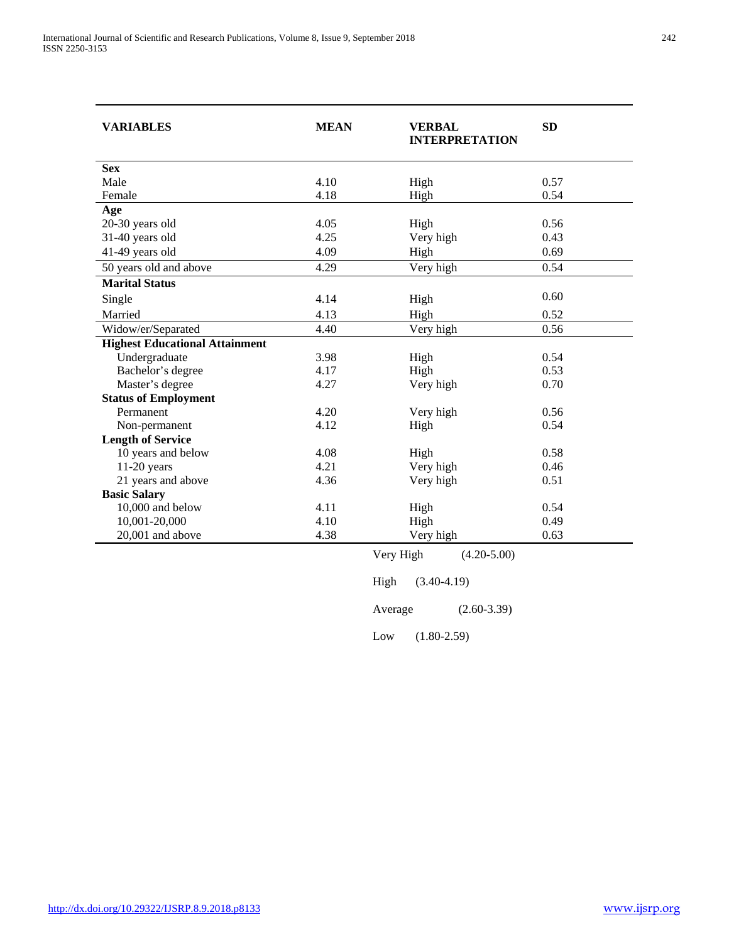| <b>VARIABLES</b>                      | <b>MEAN</b> | <b>VERBAL</b><br><b>INTERPRETATION</b> | <b>SD</b> |
|---------------------------------------|-------------|----------------------------------------|-----------|
| <b>Sex</b>                            |             |                                        |           |
| Male                                  | 4.10        | High                                   | 0.57      |
| Female                                | 4.18        | High                                   | 0.54      |
| Age                                   |             |                                        |           |
| 20-30 years old                       | 4.05        | High                                   | 0.56      |
| 31-40 years old                       | 4.25        | Very high                              | 0.43      |
| 41-49 years old                       | 4.09        | High                                   | 0.69      |
| 50 years old and above                | 4.29        | Very high                              | 0.54      |
| <b>Marital Status</b>                 |             |                                        |           |
| Single                                | 4.14        | High                                   | 0.60      |
| Married                               | 4.13        | High                                   | 0.52      |
| Widow/er/Separated                    | 4.40        | Very high                              | 0.56      |
| <b>Highest Educational Attainment</b> |             |                                        |           |
| Undergraduate                         | 3.98        | High                                   | 0.54      |
| Bachelor's degree                     | 4.17        | High                                   | 0.53      |
| Master's degree                       | 4.27        | Very high                              | 0.70      |
| <b>Status of Employment</b>           |             |                                        |           |
| Permanent                             | 4.20        | Very high                              | 0.56      |
| Non-permanent                         | 4.12        | High                                   | 0.54      |
| <b>Length of Service</b>              |             |                                        |           |
| 10 years and below                    | 4.08        | High                                   | 0.58      |
| $11-20$ years                         | 4.21        | Very high                              | 0.46      |
| 21 years and above                    | 4.36        | Very high                              | 0.51      |
| <b>Basic Salary</b>                   |             |                                        |           |
| 10,000 and below                      | 4.11        | High                                   | 0.54      |
| 10,001-20,000                         | 4.10        | High                                   | 0.49      |
| 20,001 and above                      | 4.38        | Very high                              | 0.63      |

Very High (4.20-5.00)

High (3.40-4.19) Average (2.60-3.39)

Low (1.80-2.59)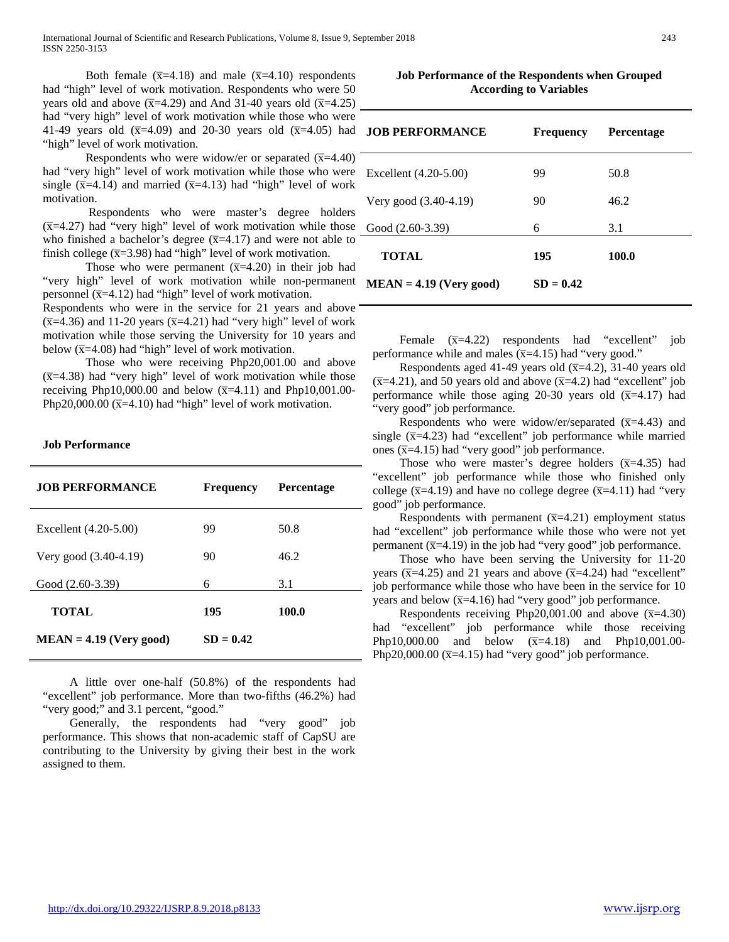Both female  $(\overline{x}=4.18)$  and male  $(\overline{x}=4.10)$  respondents had "high" level of work motivation. Respondents who were 50 years old and above  $(\overline{x}$ =4.29) and And 31-40 years old  $(\overline{x}$ =4.25) had "very high" level of work motivation while those who were 41-49 years old  $(\bar{x}=4.09)$  and 20-30 years old  $(\bar{x}=4.05)$  had "high" level of work motivation.

Respondents who were widow/er or separated  $(\overline{x}=4.40)$ had "very high" level of work motivation while those who were single ( $\overline{x}$ =4.14) and married ( $\overline{x}$ =4.13) had "high" level of work motivation.

Respondents who were master's degree holders  $(\overline{x}$ =4.27) had "very high" level of work motivation while those who finished a bachelor's degree  $(\overline{x}=4.17)$  and were not able to finish college  $(\overline{x}=3.98)$  had "high" level of work motivation.

Those who were permanent  $(\overline{x}=4.20)$  in their job had "very high" level of work motivation while non-permanent personnel ( $\overline{x}$ =4.12) had "high" level of work motivation.

Respondents who were in the service for 21 years and above  $(\overline{x}$ =4.36) and 11-20 years ( $\overline{x}$ =4.21) had "very high" level of work motivation while those serving the University for 10 years and below  $(\overline{x} = 4.08)$  had "high" level of work motivation.

Those who were receiving Php20,001.00 and above  $(\overline{x}$ =4.38) had "very high" level of work motivation while those receiving Php10,000.00 and below  $(\bar{x}=4.11)$  and Php10,001.00-Php20,000.00 ( $\overline{x}$ =4.10) had "high" level of work motivation.

#### **Job Performance**

| <b>JOB PERFORMANCE</b>    | <b>Frequency</b> | <b>Percentage</b> |
|---------------------------|------------------|-------------------|
| Excellent (4.20-5.00)     | 99               | 50.8              |
| Very good (3.40-4.19)     | 90               | 46.2              |
| Good $(2.60-3.39)$        | 6                | 3.1               |
| <b>TOTAL</b>              | 195              | 100.0             |
| $MEAN = 4.19$ (Very good) | $SD = 0.42$      |                   |

 A little over one-half (50.8%) of the respondents had "excellent" job performance. More than two-fifths (46.2%) had "very good;" and 3.1 percent, "good."

 Generally, the respondents had "very good" job performance. This shows that non-academic staff of CapSU are contributing to the University by giving their best in the work assigned to them.

| <b>Job Performance of the Respondents when Grouped</b> |
|--------------------------------------------------------|
| <b>According to Variables</b>                          |

| <b>JOB PERFORMANCE</b>    | <b>Frequency</b> | <b>Percentage</b> |
|---------------------------|------------------|-------------------|
| Excellent (4.20-5.00)     | 99               | 50.8              |
| Very good (3.40-4.19)     | 90               | 46.2              |
| Good $(2.60-3.39)$        | 6                | 3.1               |
| <b>TOTAL</b>              | 195              | 100.0             |
| $MEAN = 4.19$ (Very good) | $SD = 0.42$      |                   |

Female  $(\overline{x}=4.22)$  respondents had "excellent" job performance while and males  $(\overline{x}$ =4.15) had "very good."

Respondents aged 41-49 years old  $(\overline{x}=4.2)$ , 31-40 years old  $(\overline{x}$ =4.21), and 50 years old and above  $(\overline{x}$ =4.2) had "excellent" job performance while those aging 20-30 years old  $(\overline{x}=4.17)$  had "very good" job performance.

Respondents who were widow/er/separated  $(\overline{x}=4.43)$  and single  $(\overline{x} = 4.23)$  had "excellent" job performance while married ones  $(\overline{x}$ =4.15) had "very good" job performance.

Those who were master's degree holders  $(\overline{x}=4.35)$  had "excellent" job performance while those who finished only college ( $\overline{x}$ =4.19) and have no college degree ( $\overline{x}$ =4.11) had "very good" job performance.

Respondents with permanent  $(\overline{x}=4.21)$  employment status had "excellent" job performance while those who were not yet permanent ( $\overline{x}$ =4.19) in the job had "very good" job performance.

 Those who have been serving the University for 11-20 years ( $\overline{x}$ =4.25) and 21 years and above ( $\overline{x}$ =4.24) had "excellent" job performance while those who have been in the service for 10 years and below  $(\overline{x}=4.16)$  had "very good" job performance.

Respondents receiving Php20,001.00 and above  $(\overline{x}=4.30)$ had "excellent" job performance while those receiving Php10,000.00 and below  $(\overline{x}=4.18)$  and Php10,001.00-Php20,000.00 ( $\overline{x}$ =4.15) had "very good" job performance.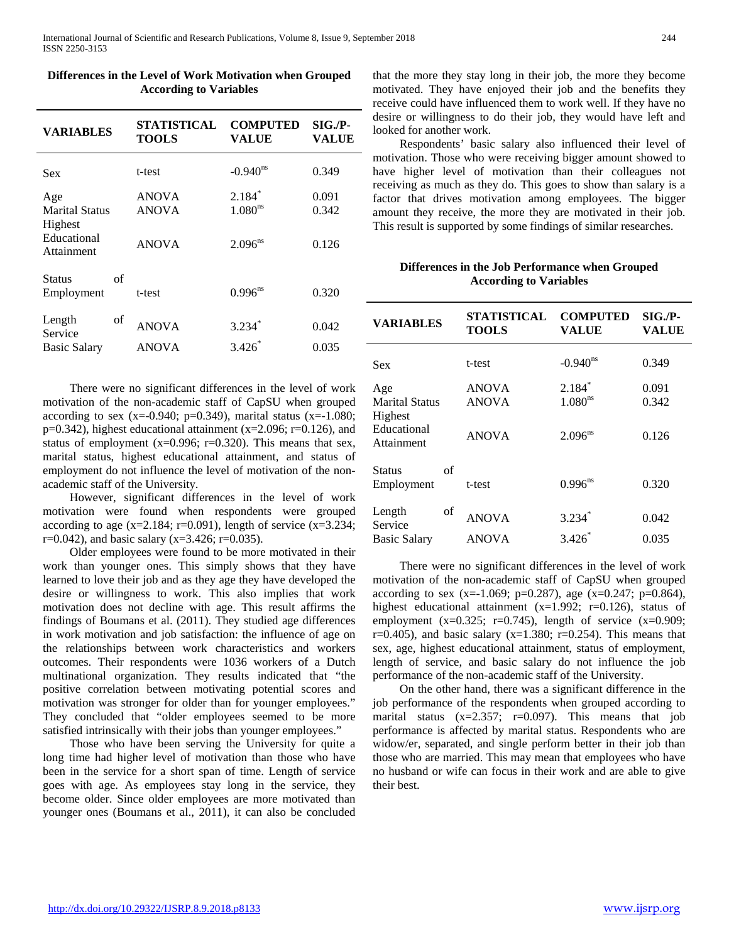| <b>VARIABLES</b>                                              | <b>STATISTICAL</b><br><b>TOOLS</b>           | <b>COMPUTED</b><br>VALUE                        | $SIG.P-$<br><b>VALUE</b> |
|---------------------------------------------------------------|----------------------------------------------|-------------------------------------------------|--------------------------|
| Sex                                                           | t-test                                       | $-0.940^{\text{ns}}$                            | 0.349                    |
| Age<br>Marital Status<br>Highest<br>Educational<br>Attainment | <b>ANOVA</b><br><b>ANOVA</b><br><b>ANOVA</b> | $2.184*$<br>1.080 <sup>ns</sup><br>$2.096^{ns}$ | 0.091<br>0.342<br>0.126  |
| of<br>Status<br>Employment                                    | t-test                                       | $0.996^{ns}$                                    | 0.320                    |
| of<br>Length<br>Service<br><b>Basic Salary</b>                | <b>ANOVA</b><br><b>ANOVA</b>                 | 3.234<br>$3.426*$                               | 0.042<br>0.035           |

| Differences in the Level of Work Motivation when Grouped |
|----------------------------------------------------------|
| <b>According to Variables</b>                            |

 There were no significant differences in the level of work motivation of the non-academic staff of CapSU when grouped according to sex (x=-0.940; p=0.349), marital status (x=-1.080;  $p=0.342$ ), highest educational attainment (x=2.096; r=0.126), and status of employment ( $x=0.996$ ;  $r=0.320$ ). This means that sex, marital status, highest educational attainment, and status of employment do not influence the level of motivation of the nonacademic staff of the University.

 However, significant differences in the level of work motivation were found when respondents were grouped according to age  $(x=2.184; r=0.091)$ , length of service  $(x=3.234;$  $r=0.042$ ), and basic salary (x=3.426; r=0.035).

 Older employees were found to be more motivated in their work than younger ones. This simply shows that they have learned to love their job and as they age they have developed the desire or willingness to work. This also implies that work motivation does not decline with age. This result affirms the findings of Boumans et al. (2011). They studied age differences in work motivation and job satisfaction: the influence of age on the relationships between work characteristics and workers outcomes. Their respondents were 1036 workers of a Dutch multinational organization. They results indicated that "the positive correlation between motivating potential scores and motivation was stronger for older than for younger employees." They concluded that "older employees seemed to be more satisfied intrinsically with their jobs than younger employees."

 Those who have been serving the University for quite a long time had higher level of motivation than those who have been in the service for a short span of time. Length of service goes with age. As employees stay long in the service, they become older. Since older employees are more motivated than younger ones (Boumans et al., 2011), it can also be concluded that the more they stay long in their job, the more they become motivated. They have enjoyed their job and the benefits they receive could have influenced them to work well. If they have no desire or willingness to do their job, they would have left and looked for another work.

 Respondents' basic salary also influenced their level of motivation. Those who were receiving bigger amount showed to have higher level of motivation than their colleagues not receiving as much as they do. This goes to show than salary is a factor that drives motivation among employees. The bigger amount they receive, the more they are motivated in their job. This result is supported by some findings of similar researches.

## **Differences in the Job Performance when Grouped According to Variables**

| <b>VARIABLES</b>                     | STATISTICAL<br><b>TOOLS</b> | <b>COMPUTED</b><br>VALUE | $SIG.P-$<br><b>VALUE</b> |
|--------------------------------------|-----------------------------|--------------------------|--------------------------|
| <b>Sex</b>                           | t-test                      | $-0.940^{\text{ns}}$     | 0.349                    |
| Age                                  | <b>ANOVA</b>                | $2.184*$                 | 0.091                    |
| <b>Marital Status</b>                | <b>ANOVA</b>                | 1.080 <sup>ns</sup>      | 0.342                    |
| Highest<br>Educational<br>Attainment | <b>ANOVA</b>                | $2.096^{ns}$             | 0.126                    |
| οf<br>Status<br>Employment           | t-test                      | $0.996^{ns}$             | 0.320                    |
| of<br>Length<br>Service              | <b>ANOVA</b>                | $3.234$ <sup>*</sup>     | 0.042                    |
| <b>Basic Salary</b>                  | <b>ANOVA</b>                | $3.426*$                 | 0.035                    |

 There were no significant differences in the level of work motivation of the non-academic staff of CapSU when grouped according to sex (x=-1.069; p=0.287), age (x=0.247; p=0.864), highest educational attainment (x=1.992; r=0.126), status of employment  $(x=0.325; r=0.745)$ , length of service  $(x=0.909;$ r=0.405), and basic salary ( $x=1.380$ ; r=0.254). This means that sex, age, highest educational attainment, status of employment, length of service, and basic salary do not influence the job performance of the non-academic staff of the University.

 On the other hand, there was a significant difference in the job performance of the respondents when grouped according to marital status  $(x=2.357; r=0.097)$ . This means that job performance is affected by marital status. Respondents who are widow/er, separated, and single perform better in their job than those who are married. This may mean that employees who have no husband or wife can focus in their work and are able to give their best.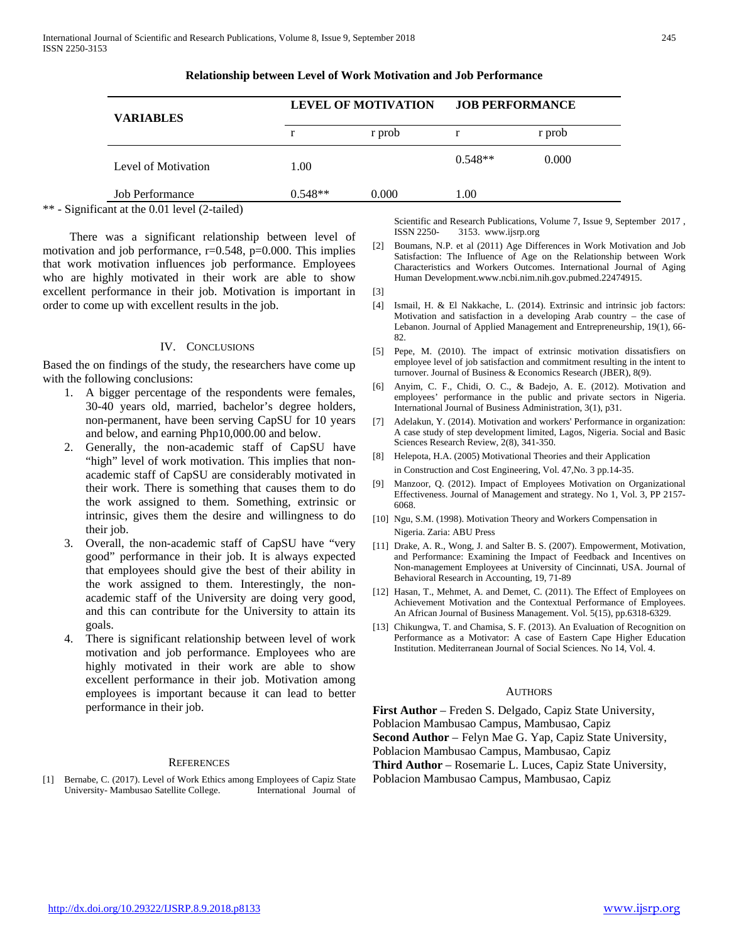| <b>VARIABLES</b>       | <b>LEVEL OF MOTIVATION</b> |        | <b>JOB PERFORMANCE</b> |        |
|------------------------|----------------------------|--------|------------------------|--------|
|                        |                            | r prob |                        | r prob |
| Level of Motivation    | 1.00                       |        | $0.548**$              | 0.000  |
| <b>Job Performance</b> | $0.548**$                  | 0.000  | 1.00                   |        |

#### **Relationship between Level of Work Motivation and Job Performance**

\*\* - Significant at the 0.01 level (2-tailed)

 There was a significant relationship between level of motivation and job performance,  $r=0.548$ ,  $p=0.000$ . This implies that work motivation influences job performance. Employees who are highly motivated in their work are able to show excellent performance in their job. Motivation is important in order to come up with excellent results in the job.

#### IV. CONCLUSIONS

Based the on findings of the study, the researchers have come up with the following conclusions:

- 1. A bigger percentage of the respondents were females, 30-40 years old, married, bachelor's degree holders, non-permanent, have been serving CapSU for 10 years and below, and earning Php10,000.00 and below.
- 2. Generally, the non-academic staff of CapSU have "high" level of work motivation. This implies that nonacademic staff of CapSU are considerably motivated in their work. There is something that causes them to do the work assigned to them. Something, extrinsic or intrinsic, gives them the desire and willingness to do their job.
- Overall, the non-academic staff of CapSU have "very good" performance in their job. It is always expected that employees should give the best of their ability in the work assigned to them. Interestingly, the nonacademic staff of the University are doing very good, and this can contribute for the University to attain its goals.
- 4. There is significant relationship between level of work motivation and job performance. Employees who are highly motivated in their work are able to show excellent performance in their job. Motivation among employees is important because it can lead to better performance in their job.

#### **REFERENCES**

[1] Bernabe, C. (2017). Level of Work Ethics among Employees of Capiz State University- Mambusao Satellite College. International Journal of

Scientific and Research Publications, Volume 7, Issue 9, September 2017 , ISSN 2250- 3153. www.ijsrp.org

- [2] Boumans, N.P. et al (2011) Age Differences in Work Motivation and Job Satisfaction: The Influence of Age on the Relationship between Work Characteristics and Workers Outcomes. International Journal of Aging Human Development.www.ncbi.nim.nih.gov.pubmed.22474915.
- [3]
- [4] Ismail, H. & El Nakkache, L. (2014). Extrinsic and intrinsic job factors: Motivation and satisfaction in a developing Arab country – the case of Lebanon. Journal of Applied Management and Entrepreneurship, 19(1), 66- 82.
- [5] Pepe, M. (2010). The impact of extrinsic motivation dissatisfiers on employee level of job satisfaction and commitment resulting in the intent to turnover. Journal of Business & Economics Research (JBER), 8(9).
- [6] Anyim, C. F., Chidi, O. C., & Badejo, A. E. (2012). Motivation and employees' performance in the public and private sectors in Nigeria. International Journal of Business Administration, 3(1), p31.
- [7] Adelakun, Y. (2014). Motivation and workers' Performance in organization: A case study of step development limited, Lagos, Nigeria. Social and Basic Sciences Research Review, 2(8), 341-350.
- [8] Helepota, H.A. (2005) Motivational Theories and their Application in Construction and Cost Engineering, Vol. 47,No. 3 pp.14-35.
- [9] Manzoor, Q. (2012). Impact of Employees Motivation on Organizational Effectiveness. Journal of Management and strategy. No 1, Vol. 3, PP 2157- 6068.
- [10] Ngu, S.M. (1998). Motivation Theory and Workers Compensation in Nigeria. Zaria: ABU Press
- [11] Drake, A. R., Wong, J. and Salter B. S. (2007). Empowerment, Motivation, and Performance: Examining the Impact of Feedback and Incentives on Non-management Employees at University of Cincinnati, USA. Journal of Behavioral Research in Accounting, 19, 71-89
- [12] Hasan, T., Mehmet, A. and Demet, C. (2011). The Effect of Employees on Achievement Motivation and the Contextual Performance of Employees. An African Journal of Business Management. Vol. 5(15), pp.6318-6329.
- [13] Chikungwa, T. and Chamisa, S. F. (2013). An Evaluation of Recognition on Performance as a Motivator: A case of Eastern Cape Higher Education Institution. Mediterranean Journal of Social Sciences. No 14, Vol. 4.

### **AUTHORS**

**First Author** – Freden S. Delgado, Capiz State University, Poblacion Mambusao Campus, Mambusao, Capiz **Second Author** – Felyn Mae G. Yap, Capiz State University, Poblacion Mambusao Campus, Mambusao, Capiz **Third Author** – Rosemarie L. Luces, Capiz State University, Poblacion Mambusao Campus, Mambusao, Capiz